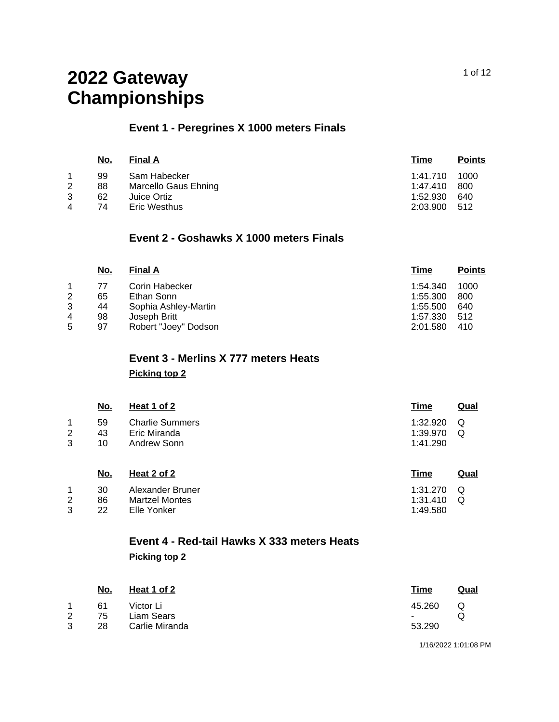## **Event 1 - Peregrines X 1000 meters Finals**

|   | No. | <b>Final A</b>       | Time     | <b>Points</b> |
|---|-----|----------------------|----------|---------------|
|   | 99  | Sam Habecker         | 1:41.710 | 1000          |
| 2 | 88  | Marcello Gaus Ehning | 1:47.410 | 800           |
| 3 | 62  | Juice Ortiz          | 1:52.930 | 640           |
| 4 | 74  | <b>Eric Westhus</b>  | 2:03.900 | -512          |
|   |     |                      |          |               |

### **Event 2 - Goshawks X 1000 meters Finals**

|   | <u>No.</u> | <b>Final A</b>       | Time     | <b>Points</b> |
|---|------------|----------------------|----------|---------------|
|   | 77         | Corin Habecker       | 1:54.340 | 1000          |
| 2 | 65         | Ethan Sonn           | 1:55.300 | 800           |
| 3 | 44         | Sophia Ashley-Martin | 1:55.500 | 640           |
| 4 | 98         | Joseph Britt         | 1:57.330 | 512           |
| 5 | 97         | Robert "Joey" Dodson | 2:01.580 | 410           |

# **Event 3 - Merlins X 777 meters Heats**

**Picking top 2**

|   | No. | Heat 1 of 2            | Time     | Qual |
|---|-----|------------------------|----------|------|
| 1 | 59  | <b>Charlie Summers</b> | 1:32.920 | - Q  |
| 2 | 43  | Eric Miranda           | 1:39.970 | O    |
| 3 | 10  | Andrew Sonn            | 1:41.290 |      |
|   |     |                        |          |      |

| No. | Heat 2 of 2      | Time             | Qual |
|-----|------------------|------------------|------|
| 30  | Alexander Bruner | 1:31.270 $\circ$ |      |
| 86  | Martzel Montes   | $1:31.410$ Q     |      |
| 22  | Elle Yonker      | 1:49.580         |      |

## **Event 4 - Red-tail Hawks X 333 meters Heats Picking top 2**

|   | <u>No.</u> | Heat 1 of 2    | <u>Time</u>    | <u>Qual</u> |
|---|------------|----------------|----------------|-------------|
| 1 | 61         | Victor Li      | 45.260         |             |
| 2 | 75         | Liam Sears     | $\blacksquare$ |             |
| 3 | 28         | Carlie Miranda | 53.290         |             |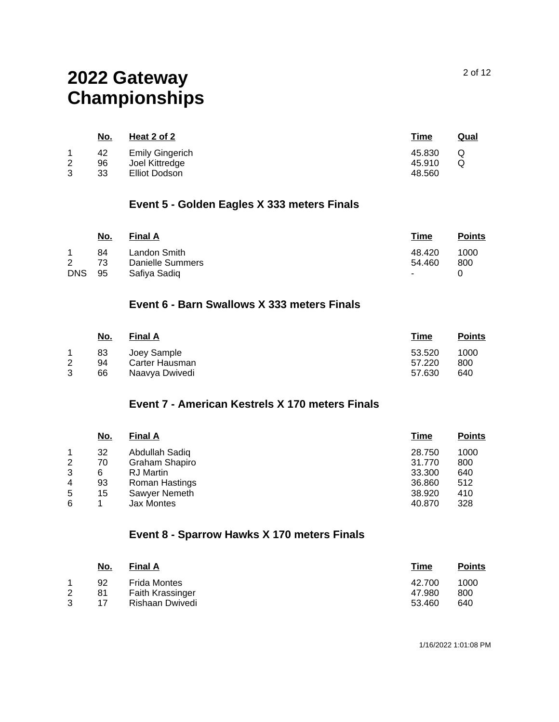|        | <u>No.</u>     | Heat 2 of 2                                               | <u>Time</u>                | Qual |
|--------|----------------|-----------------------------------------------------------|----------------------------|------|
| 2<br>3 | 42<br>96<br>33 | <b>Emily Gingerich</b><br>Joel Kittredge<br>Elliot Dodson | 45.830<br>45.910<br>48.560 | Q    |

### **Event 5 - Golden Eagles X 333 meters Finals**

|            | No. | <b>Final A</b>   | Time            | <b>Points</b> |
|------------|-----|------------------|-----------------|---------------|
|            | 84  | Landon Smith     | 48.420          | 1000          |
| 2          | 73  | Danielle Summers | 54.460          | 800           |
| <b>DNS</b> | -95 | Safiva Sadig     | $\sim$ 10 $\pm$ |               |

### **Event 6 - Barn Swallows X 333 meters Finals**

|   | No. | <b>Final A</b> | Time   | <b>Points</b> |
|---|-----|----------------|--------|---------------|
|   | 83  | Joey Sample    | 53.520 | 1000          |
|   | 94  | Carter Hausman | 57.220 | 800           |
| 3 | 66  | Naavya Dwivedi | 57.630 | 640           |

### **Event 7 - American Kestrels X 170 meters Finals**

|   | <u>No.</u> | <b>Final A</b>   | Time   | <b>Points</b> |
|---|------------|------------------|--------|---------------|
|   | 32         | Abdullah Sadiq   | 28.750 | 1000          |
| 2 | 70         | Graham Shapiro   | 31.770 | 800           |
| 3 | 6          | <b>RJ</b> Martin | 33.300 | 640           |
| 4 | 93         | Roman Hastings   | 36.860 | 512           |
| 5 | 15         | Sawyer Nemeth    | 38.920 | 410           |
| 6 |            | Jax Montes       | 40.870 | 328           |

## **Event 8 - Sparrow Hawks X 170 meters Finals**

| No. | <b>Final A</b>          | Time   | <b>Points</b> |
|-----|-------------------------|--------|---------------|
| 92  | Frida Montes            | 42.700 | 1000          |
| 81  | <b>Faith Krassinger</b> | 47.980 | 800           |
| 17  | Rishaan Dwivedi         | 53.460 | 640           |
|     |                         |        |               |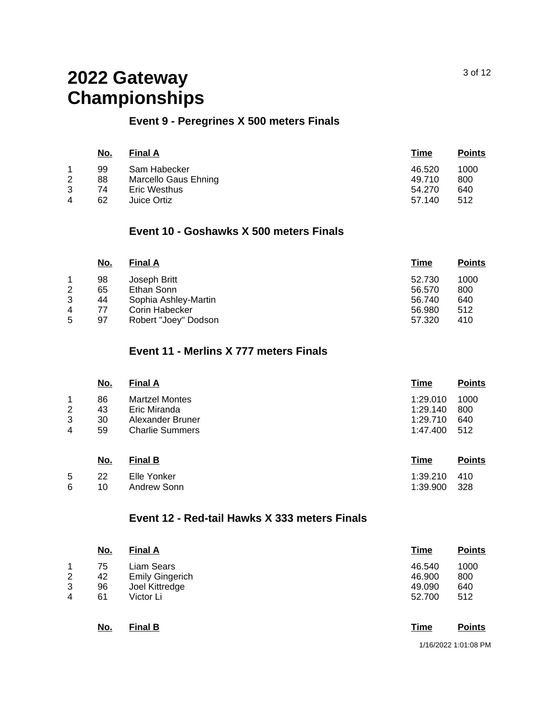### **Event 9 - Peregrines X 500 meters Finals**

|   | <u>No.</u> | <b>Final A</b>       | Time   | <b>Points</b> |
|---|------------|----------------------|--------|---------------|
|   | 99         | Sam Habecker         | 46.520 | 1000          |
| 2 | 88         | Marcello Gaus Ehning | 49.710 | 800           |
| 3 | 74         | <b>Eric Westhus</b>  | 54.270 | 640           |
| 4 | 62         | Juice Ortiz          | 57.140 | 512           |

### **Event 10 - Goshawks X 500 meters Finals**

| <u>No.</u> | <b>Final A</b>       | <u>Time</u> | <b>Points</b> |
|------------|----------------------|-------------|---------------|
| 98         | Joseph Britt         | 52.730      | 1000          |
| 65         | Ethan Sonn           | 56.570      | 800           |
| 44         | Sophia Ashley-Martin | 56.740      | 640           |
| 77         | Corin Habecker       | 56.980      | 512           |
| 97         | Robert "Joey" Dodson | 57.320      | 410           |
|            |                      |             |               |

### **Event 11 - Merlins X 777 meters Finals**

|                               | <u>No.</u>           | <b>Final A</b>                                                                      | Time                                         | <b>Points</b>             |
|-------------------------------|----------------------|-------------------------------------------------------------------------------------|----------------------------------------------|---------------------------|
| 1<br>$\overline{2}$<br>3<br>4 | 86<br>43<br>30<br>59 | <b>Martzel Montes</b><br>Eric Miranda<br>Alexander Bruner<br><b>Charlie Summers</b> | 1:29.010<br>1:29.140<br>1:29.710<br>1:47.400 | 1000<br>800<br>640<br>512 |
|                               | <u>No.</u>           | <b>Final B</b>                                                                      | <u>Time</u>                                  | <b>Points</b>             |

|    | <u>IVU.</u> | ט וואווו    | 11111G       | г үшк |
|----|-------------|-------------|--------------|-------|
| 5  | -22         | Elle Yonker | 1:39.210 410 |       |
| 6. | 10.         | Andrew Sonn | 1:39.900 328 |       |

### **Event 12 - Red-tail Hawks X 333 meters Finals**

|    | <u>No.</u> | <b>Final A</b>         | <b>Time</b> | <b>Points</b> |
|----|------------|------------------------|-------------|---------------|
| 1. | 75         | Liam Sears             | 46.540      | 1000          |
| 2  | 42         | <b>Emily Gingerich</b> | 46.900      | 800           |
| 3  | 96         | Joel Kittredge         | 49.090      | 640           |
| 4  | 61         | Victor Li              | 52.700      | 512           |
|    | <u>No.</u> | <b>Final B</b>         | <b>Time</b> | <b>Points</b> |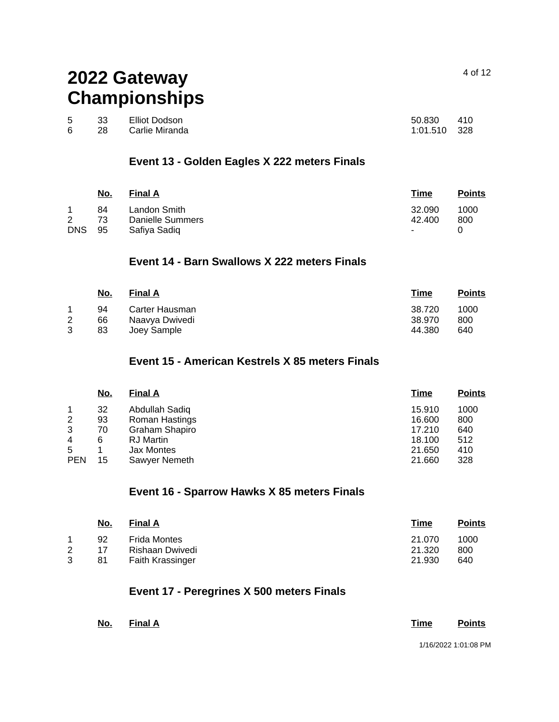|    | 33 | Elliot Dodson     | 50.830 410   |  |
|----|----|-------------------|--------------|--|
| 6. |    | 28 Carlie Miranda | 1:01.510 328 |  |

### **Event 13 - Golden Eagles X 222 meters Finals**

|                 | <u>No.</u>     | <b>Final A</b>                                   | Time                       | <b>Points</b> |
|-----------------|----------------|--------------------------------------------------|----------------------------|---------------|
| 2<br><b>DNS</b> | 84<br>73<br>95 | Landon Smith<br>Danielle Summers<br>Safiya Sadiq | 32.090<br>42.400<br>$\sim$ | 1000<br>800   |

## **Event 14 - Barn Swallows X 222 meters Finals**

| <u>No.</u> | <b>Final A</b> | <b>Time</b> | <b>Points</b> |
|------------|----------------|-------------|---------------|
| 94         | Carter Hausman | 38.720      | 1000          |
| 66         | Naavya Dwivedi | 38.970      | 800           |
| 83         | Joev Sample    | 44.380      | 640           |
|            |                |             |               |

### **Event 15 - American Kestrels X 85 meters Finals**

|                | <u>No.</u> | <b>Final A</b>    | <u>Time</u> | <b>Points</b> |
|----------------|------------|-------------------|-------------|---------------|
| 1              | 32         | Abdullah Sadiq    | 15.910      | 1000          |
| $\overline{2}$ | 93         | Roman Hastings    | 16.600      | 800           |
| 3              | 70         | Graham Shapiro    | 17.210      | 640           |
| 4              | 6          | <b>RJ</b> Martin  | 18.100      | 512           |
| 5              |            | <b>Jax Montes</b> | 21.650      | 410           |
| <b>PEN</b>     | 15         | Sawyer Nemeth     | 21.660      | 328           |

### **Event 16 - Sparrow Hawks X 85 meters Finals**

| <u>No.</u> | <b>Final A</b>          | Time   | <b>Points</b> |
|------------|-------------------------|--------|---------------|
| 92         | <b>Frida Montes</b>     | 21.070 | 1000          |
| 17         | Rishaan Dwivedi         | 21.320 | 800           |
| 81         | <b>Faith Krassinger</b> | 21.930 | 640           |
|            |                         |        |               |

### **Event 17 - Peregrines X 500 meters Finals**

| <u>No.</u> | Final A |  | <u>Time</u> | <b>Points</b>        |
|------------|---------|--|-------------|----------------------|
|            |         |  |             | 1/16/2022 1:01:08 PM |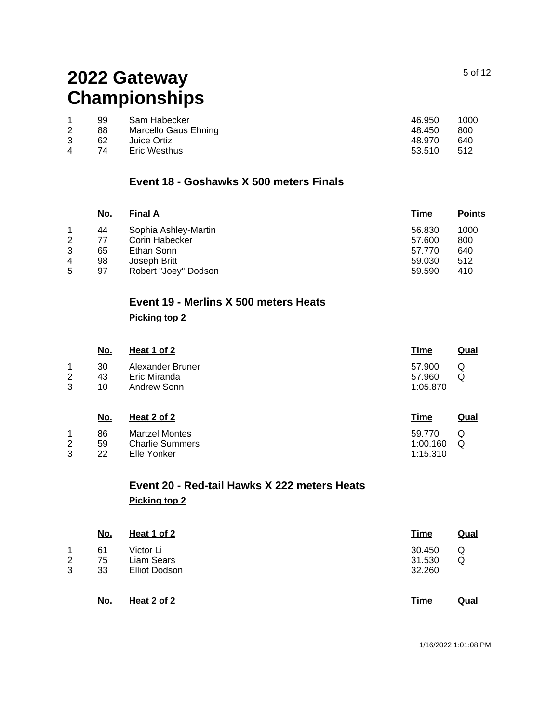| 1000 |
|------|
| 800  |
| 640  |
| -512 |
|      |

### **Event 18 - Goshawks X 500 meters Finals**

|   | No. | <b>Final A</b>       | Time   | <b>Points</b> |
|---|-----|----------------------|--------|---------------|
|   | 44  | Sophia Ashley-Martin | 56.830 | 1000          |
| 2 | 77  | Corin Habecker       | 57.600 | 800           |
| 3 | 65  | Ethan Sonn           | 57.770 | 640           |
| 4 | 98  | Joseph Britt         | 59,030 | 512           |
| 5 | 97  | Robert "Joey" Dodson | 59.590 | 410           |
|   |     |                      |        |               |

## **Event 19 - Merlins X 500 meters Heats**

### **Picking top 2**

|        | <u>No.</u> | Heat 1 of 2                      | Time             | <u>Qual</u> |
|--------|------------|----------------------------------|------------------|-------------|
| 1<br>2 | 30<br>43   | Alexander Bruner<br>Eric Miranda | 57.900<br>57.960 | Q<br>Q      |
| 3      | 10         | Andrew Sonn                      | 1:05.870         |             |

|    | <u>No.</u> | Heat 2 of 2            | <u>Time</u> | Qual |
|----|------------|------------------------|-------------|------|
|    | 86         | <b>Martzel Montes</b>  | 59.770      | Q    |
| 2  | 59         | <b>Charlie Summers</b> | 1:00.160    | റ    |
| ્વ | つつ         | Elle Yonker            | 1:15.310    |      |

## **Event 20 - Red-tail Hawks X 222 meters Heats Picking top 2**

|   | <u>No.</u> | Heat 1 of 2          | <b>Time</b> | <u>Qual</u> |
|---|------------|----------------------|-------------|-------------|
| 1 | 61         | Victor Li            | 30.450      | Q           |
| 2 | 75         | Liam Sears           | 31.530      | Q           |
| 3 | 33         | <b>Elliot Dodson</b> | 32.260      |             |
|   | <u>No.</u> | Heat 2 of 2          | Time        | <u>Qual</u> |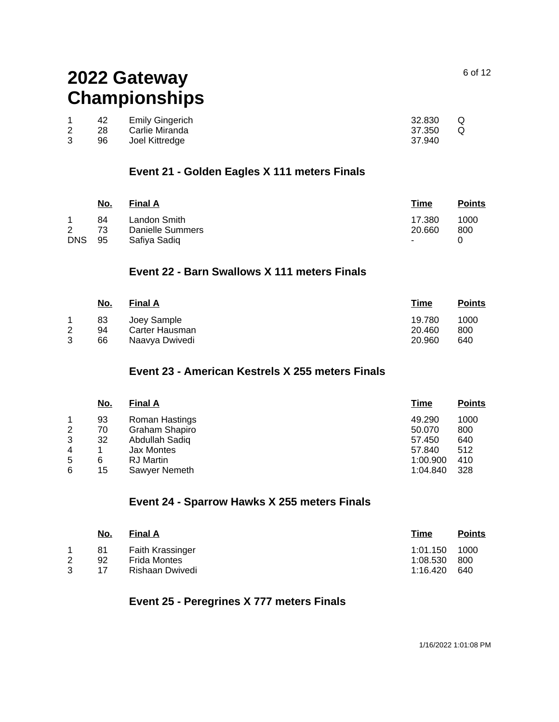| 42  | Emily Gingerich | 32.830 | Q |
|-----|-----------------|--------|---|
| -28 | Carlie Miranda  | 37.350 | Q |
| 96. | Joel Kittredge  | 37.940 |   |

### **Event 21 - Golden Eagles X 111 meters Finals**

|                | <u>No.</u> | <b>Final A</b>   | Time       | <b>Points</b> |
|----------------|------------|------------------|------------|---------------|
| 1              | 84         | Landon Smith     | 17.380     | 1000          |
| $\overline{2}$ | 73         | Danielle Summers | 20.660     | 800           |
| <b>DNS</b>     | 95         | Safiva Sadig     | $\sim 100$ |               |

### **Event 22 - Barn Swallows X 111 meters Finals**

|   | No.      | <b>Final A</b>                | <u>Time</u>      | <b>Points</b> |
|---|----------|-------------------------------|------------------|---------------|
| 2 | 83<br>94 | Joey Sample<br>Carter Hausman | 19.780<br>20.460 | 1000<br>800   |
| 3 | 66       | Naavya Dwivedi                | 20,960           | 640           |

## **Event 23 - American Kestrels X 255 meters Finals**

| <b>Points</b>                                                               |
|-----------------------------------------------------------------------------|
| 1000                                                                        |
| 800                                                                         |
| 640                                                                         |
| 512                                                                         |
| 410                                                                         |
| 328                                                                         |
| <u>Time</u><br>49.290<br>50.070<br>57.450<br>57.840<br>1:00.900<br>1:04.840 |

### **Event 24 - Sparrow Hawks X 255 meters Finals**

| <u>No.</u> | <b>Final A</b>          | Time     | <b>Points</b> |
|------------|-------------------------|----------|---------------|
| 81         | <b>Faith Krassinger</b> | 1:01.150 | 1000          |
| 92         | Frida Montes            | 1:08.530 | 800           |
| 17         | Rishaan Dwivedi         | 1:16.420 | 640           |

### **Event 25 - Peregrines X 777 meters Finals**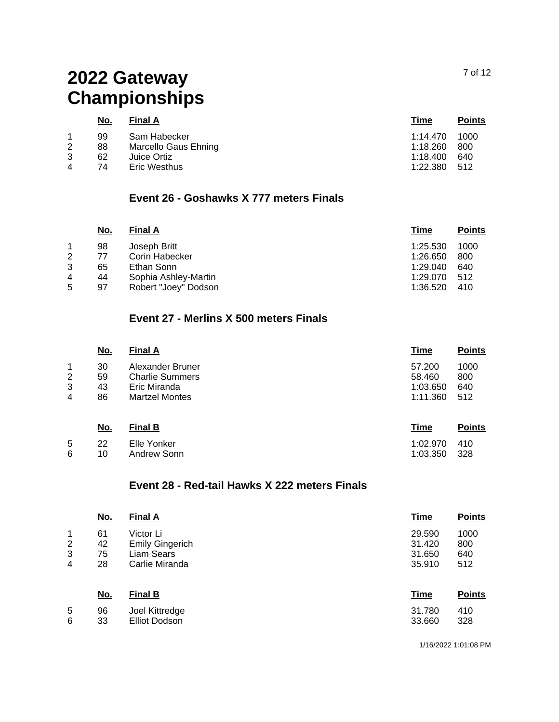6

|   | <u>No.</u> | <b>Final A</b>       | Time         | <b>Points</b> |
|---|------------|----------------------|--------------|---------------|
|   | 99         | Sam Habecker         | 1:14.470     | 1000          |
| 2 | 88         | Marcello Gaus Ehning | 1:18.260     | 800           |
| 3 | 62         | Juice Ortiz          | 1:18.400     | 640           |
| 4 | 74         | Eric Westhus         | 1:22.380 512 |               |

## **Event 26 - Goshawks X 777 meters Finals**

| 1000                                                     |
|----------------------------------------------------------|
| 800                                                      |
| 640                                                      |
| 512                                                      |
| 410                                                      |
| 1:25.530<br>1:26.650<br>1:29.040<br>1:29.070<br>1:36.520 |

## **Event 27 - Merlins X 500 meters Finals**

|   | <u>No.</u> | <b>Final A</b>         | <b>Time</b> | <b>Points</b> |
|---|------------|------------------------|-------------|---------------|
| 1 | 30         | Alexander Bruner       | 57.200      | 1000          |
| 2 | 59         | <b>Charlie Summers</b> | 58.460      | 800           |
| 3 | 43         | Eric Miranda           | 1:03.650    | 640           |
| 4 | 86         | <b>Martzel Montes</b>  | 1:11.360    | 512           |
|   | <u>No.</u> | <b>Final B</b>         | <b>Time</b> | <b>Points</b> |
| 5 | 22         | Elle Yonker            | 1:02.970    | 410           |

#### 10 Andrew Sonn 1:03.350 328

### **Event 28 - Red-tail Hawks X 222 meters Finals**

|                | <u>No.</u> | <b>Final A</b>         | <b>Time</b> | <b>Points</b> |
|----------------|------------|------------------------|-------------|---------------|
| 1              | 61         | Victor Li              | 29.590      | 1000          |
| $\overline{2}$ | 42         | <b>Emily Gingerich</b> | 31.420      | 800           |
| 3              | 75         | Liam Sears             | 31.650      | 640           |
| 4              | 28         | Carlie Miranda         | 35,910      | 512           |
|                | <u>No.</u> | <b>Final B</b>         | <b>Time</b> | <b>Points</b> |
| 5              | 96         | Joel Kittredge         | 31.780      | 410           |
| 6              | 33         | Elliot Dodson          | 33.660      | 328           |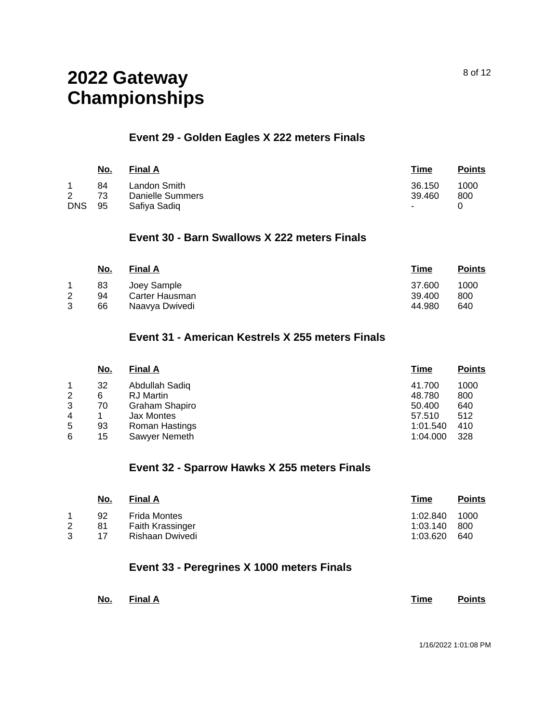### **Event 29 - Golden Eagles X 222 meters Finals**

|                 | <u>No.</u>     | <b>Final A</b>                                   | Time                       | <b>Points</b> |
|-----------------|----------------|--------------------------------------------------|----------------------------|---------------|
| 2<br><b>DNS</b> | 84<br>73<br>95 | Landon Smith<br>Danielle Summers<br>Safiya Sadiq | 36.150<br>39.460<br>$\sim$ | 1000<br>800   |

### **Event 30 - Barn Swallows X 222 meters Finals**

|        | <u>No.</u>     | <b>Final A</b>                                  | <u>Time</u>                | <b>Points</b>      |
|--------|----------------|-------------------------------------------------|----------------------------|--------------------|
| 2<br>3 | 83<br>94<br>66 | Joey Sample<br>Carter Hausman<br>Naavya Dwivedi | 37.600<br>39.400<br>44.980 | 1000<br>800<br>640 |

### **Event 31 - American Kestrels X 255 meters Finals**

| <u>No.</u> | <b>Final A</b> | <u>Time</u> | <b>Points</b> |
|------------|----------------|-------------|---------------|
| 32         | Abdullah Sadiq | 41.700      | 1000          |
| 6          | RJ Martin      | 48.780      | 800           |
| 70         | Graham Shapiro | 50.400      | 640           |
|            | Jax Montes     | 57.510      | 512           |
| 93         | Roman Hastings | 1:01.540    | 410           |
| 15         | Sawyer Nemeth  | 1:04.000    | 328           |
|            |                |             |               |

### **Event 32 - Sparrow Hawks X 255 meters Finals**

| <u>No.</u> | <b>Final A</b>          | Time     | <b>Points</b> |
|------------|-------------------------|----------|---------------|
| 92         | Frida Montes            | 1:02.840 | 1000          |
| 81         | <b>Faith Krassinger</b> | 1:03.140 | -800          |
| 17         | Rishaan Dwivedi         | 1:03.620 | 640           |
|            |                         |          |               |

### **Event 33 - Peregrines X 1000 meters Finals**

| No. | <b>Final A</b> | Time | <b>Points</b> |
|-----|----------------|------|---------------|
|     |                |      |               |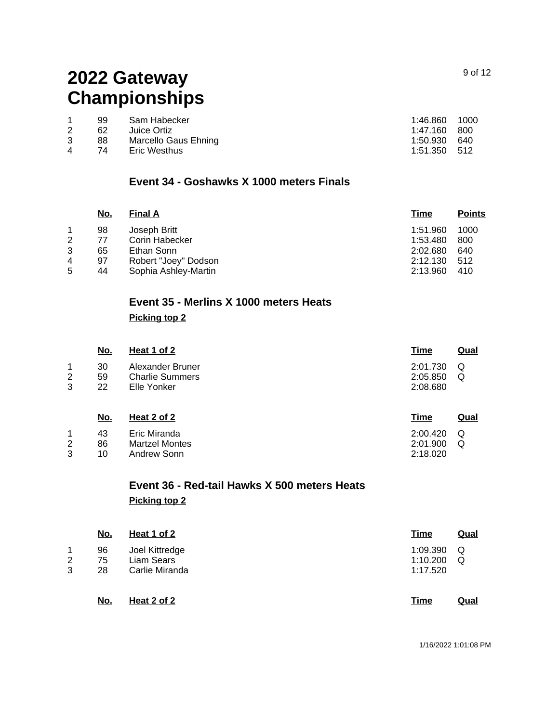|   | 99 | Sam Habecker         | 1:46.860     | 1000 |
|---|----|----------------------|--------------|------|
|   | 62 | Juice Ortiz          | 1:47.160     | -800 |
|   | 88 | Marcello Gaus Ehning | 1:50.930     | 640  |
| 4 | 74 | Eric Westhus         | 1:51.350 512 |      |
|   |    |                      |              |      |

### **Event 34 - Goshawks X 1000 meters Finals**

|   | No. | <b>Final A</b>       | Time     | <b>Points</b> |
|---|-----|----------------------|----------|---------------|
|   | 98  | Joseph Britt         | 1:51.960 | 1000          |
| 2 | 77  | Corin Habecker       | 1:53.480 | 800           |
| 3 | 65  | Ethan Sonn           | 2:02.680 | 640           |
| 4 | 97  | Robert "Joey" Dodson | 2:12.130 | 512           |
| 5 | 44  | Sophia Ashley-Martin | 2:13.960 | 410           |

# **Event 35 - Merlins X 1000 meters Heats**

### **Picking top 2**

Andrew Sonn

3

10

|             | <u>No.</u>     | Heat 1 of 2                                               | <b>Time</b>                      | <u>Qual</u> |
|-------------|----------------|-----------------------------------------------------------|----------------------------------|-------------|
| 1<br>2<br>3 | 30<br>59<br>22 | Alexander Bruner<br><b>Charlie Summers</b><br>Elle Yonker | 2:01.730<br>2:05.850<br>2:08.680 | Q<br>Q      |
|             | <u>No.</u>     | Heat 2 of 2                                               | <u>Time</u>                      | Qual        |
| 1<br>2      | 43<br>86       | Eric Miranda<br><b>Martzel Montes</b>                     | 2:00.420<br>2:01.900             | Q<br>Q      |

# **Event 36 - Red-tail Hawks X 500 meters Heats Picking top 2**

|   | <u>No.</u> | Heat 1 of 2    | <u>Time</u> | <u>Qual</u> |
|---|------------|----------------|-------------|-------------|
| 1 | 96         | Joel Kittredge | 1:09.390    | Q           |
| 2 | 75         | Liam Sears     | 1:10.200    | Q           |
| 3 | 28         | Carlie Miranda | 1:17.520    |             |
|   | No.        | Heat 2 of 2    | Time        | Qual        |

2:18.020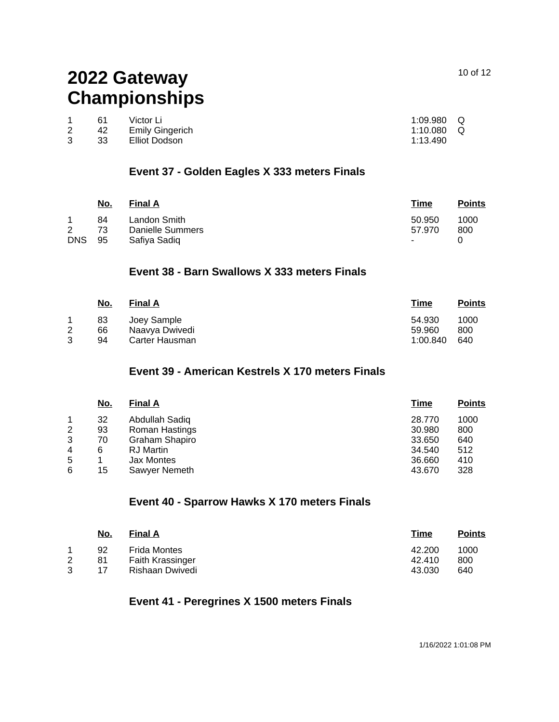|   | 61  | Victor Li       | $1:09.980$ Q |  |
|---|-----|-----------------|--------------|--|
| 2 | 42  | Emily Gingerich | 1:10.080 $Q$ |  |
|   | -33 | Elliot Dodson   | 1:13.490     |  |

### **Event 37 - Golden Eagles X 333 meters Finals**

|            | <u>No.</u> | <b>Final A</b>   | Time   | <b>Points</b> |
|------------|------------|------------------|--------|---------------|
|            | 84         | Landon Smith     | 50.950 | 1000          |
| 2          | 73         | Danielle Summers | 57.970 | 800           |
| <b>DNS</b> | 95         | Safiya Sadiq     | $\sim$ |               |

### **Event 38 - Barn Swallows X 333 meters Finals**

|        | No.            | <b>Final A</b>                                  | Time                         | <b>Points</b>      |
|--------|----------------|-------------------------------------------------|------------------------------|--------------------|
| 2<br>3 | 83<br>66<br>94 | Joev Sample<br>Naavva Dwivedi<br>Carter Hausman | 54.930<br>59.960<br>1:00.840 | 1000<br>800<br>640 |

## **Event 39 - American Kestrels X 170 meters Finals**

|   | No. | <b>Final A</b>   | Time   | <b>Points</b> |
|---|-----|------------------|--------|---------------|
|   | 32  | Abdullah Sadiq   | 28,770 | 1000          |
| 2 | 93  | Roman Hastings   | 30.980 | 800           |
| 3 | 70  | Graham Shapiro   | 33.650 | 640           |
| 4 | 6   | <b>RJ</b> Martin | 34.540 | 512           |
| 5 |     | Jax Montes       | 36.660 | 410           |
| 6 | 15  | Sawyer Nemeth    | 43.670 | 328           |
|   |     |                  |        |               |

### **Event 40 - Sparrow Hawks X 170 meters Finals**

|   | <u>No.</u> | <b>Final A</b>      | Time   | <b>Points</b> |
|---|------------|---------------------|--------|---------------|
|   | 92         | <b>Frida Montes</b> | 42.200 | 1000          |
| 2 | 81         | Faith Krassinger    | 42.410 | 800           |
|   | 17         | Rishaan Dwivedi     | 43.030 | 640           |

### **Event 41 - Peregrines X 1500 meters Finals**

10 of 12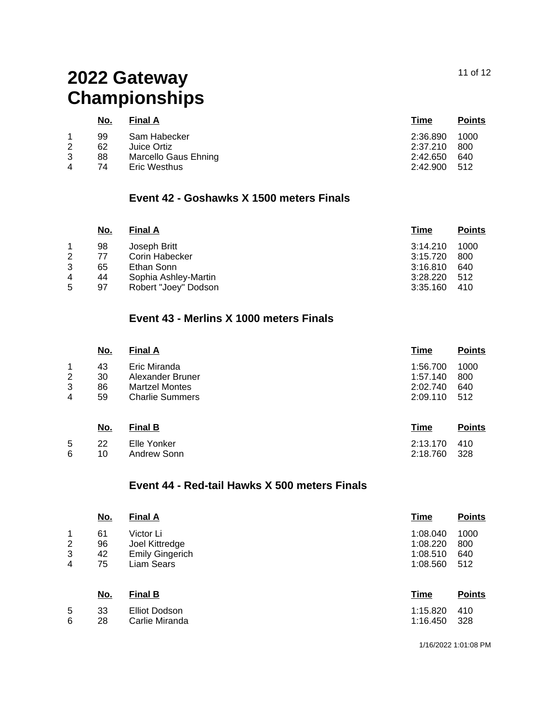### 11 of 12

# **2022 Gateway Championships**

|   | <u>No.</u> | <b>Final A</b>       | Time     | <b>Points</b> |
|---|------------|----------------------|----------|---------------|
|   | 99         | Sam Habecker         | 2:36.890 | 1000          |
| 2 | 62         | Juice Ortiz          | 2:37.210 | 800           |
| 3 | 88         | Marcello Gaus Ehning | 2:42.650 | 640           |
| 4 | 74         | Eric Westhus         | 2:42.900 | - 512         |

## **Event 42 - Goshawks X 1500 meters Finals**

| No. | <b>Final A</b>       | Time     | <b>Points</b> |
|-----|----------------------|----------|---------------|
| 98  | Joseph Britt         | 3:14.210 | 1000          |
| 77  | Corin Habecker       | 3:15.720 | 800           |
| 65  | Ethan Sonn           | 3:16.810 | 640           |
| 44  | Sophia Ashley-Martin | 3:28.220 | 512           |
| 97  | Robert "Joey" Dodson | 3:35.160 | 410           |
|     |                      |          |               |

## **Event 43 - Merlins X 1000 meters Finals**

|        | <u>No.</u> | <b>Final A</b>                            | <u>Time</u>          | <b>Points</b> |
|--------|------------|-------------------------------------------|----------------------|---------------|
| 1      | 43         | Eric Miranda                              | 1:56.700             | 1000          |
| 2<br>3 | 30<br>86   | Alexander Bruner<br><b>Martzel Montes</b> | 1:57.140<br>2:02.740 | 800<br>640    |
| 4      | 59         | <b>Charlie Summers</b>                    | 2:09.110             | 512           |
|        | No.        | <b>Final B</b>                            | Time                 | <b>Points</b> |

|  | 5 22 Elle Yonker | 2:13.170 410 |  |
|--|------------------|--------------|--|
|  | 6 10 Andrew Sonn | 2:18.760 328 |  |

### **Event 44 - Red-tail Hawks X 500 meters Finals**

|                | <u>No.</u> | <b>Final A</b>         | <b>Time</b> | <b>Points</b> |
|----------------|------------|------------------------|-------------|---------------|
| 1              | 61         | Victor Li              | 1:08.040    | 1000          |
| $\overline{2}$ | 96         | Joel Kittredge         | 1:08.220    | 800           |
| 3              | 42         | <b>Emily Gingerich</b> | 1:08.510    | 640           |
| 4              | 75         | Liam Sears             | 1:08.560    | 512           |
|                | <u>No.</u> | <b>Final B</b>         | <b>Time</b> | <b>Points</b> |
| 5              | 33         | <b>Elliot Dodson</b>   | 1:15.820    | 410           |
| 6              | 28         | Carlie Miranda         | 1:16.450    | 328           |